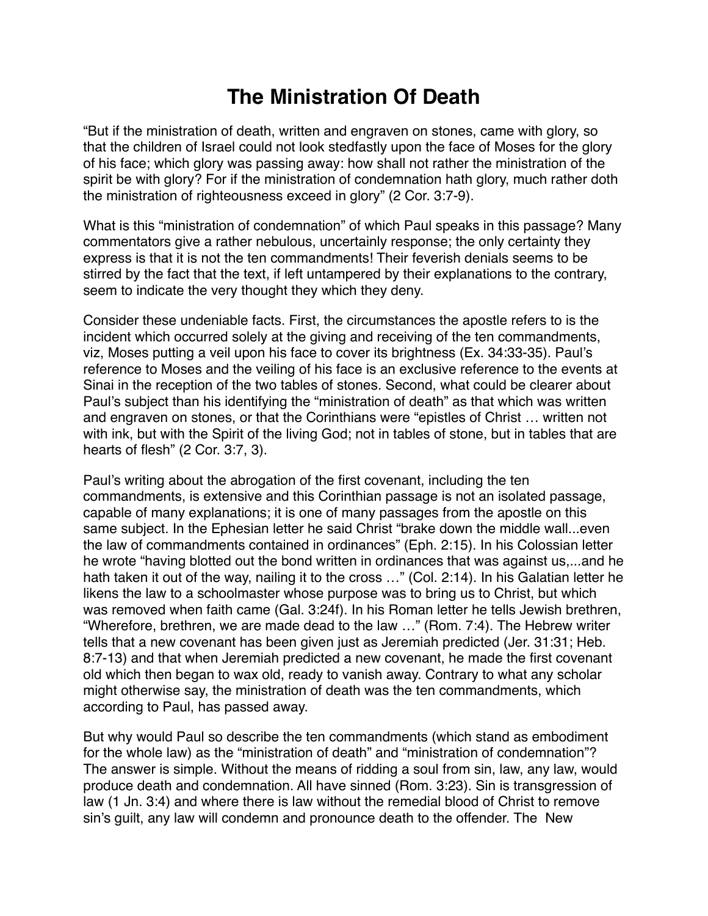## **The Ministration Of Death**

"But if the ministration of death, written and engraven on stones, came with glory, so that the children of Israel could not look stedfastly upon the face of Moses for the glory of his face; which glory was passing away: how shall not rather the ministration of the spirit be with glory? For if the ministration of condemnation hath glory, much rather doth the ministration of righteousness exceed in glory" (2 Cor. 3:7-9).

What is this "ministration of condemnation" of which Paul speaks in this passage? Many commentators give a rather nebulous, uncertainly response; the only certainty they express is that it is not the ten commandments! Their feverish denials seems to be stirred by the fact that the text, if left untampered by their explanations to the contrary, seem to indicate the very thought they which they deny.

Consider these undeniable facts. First, the circumstances the apostle refers to is the incident which occurred solely at the giving and receiving of the ten commandments, viz, Moses putting a veil upon his face to cover its brightness (Ex. 34:33-35). Paul's reference to Moses and the veiling of his face is an exclusive reference to the events at Sinai in the reception of the two tables of stones. Second, what could be clearer about Paul's subject than his identifying the "ministration of death" as that which was written and engraven on stones, or that the Corinthians were "epistles of Christ … written not with ink, but with the Spirit of the living God; not in tables of stone, but in tables that are hearts of flesh" (2 Cor. 3:7, 3).

Paul's writing about the abrogation of the first covenant, including the ten commandments, is extensive and this Corinthian passage is not an isolated passage, capable of many explanations; it is one of many passages from the apostle on this same subject. In the Ephesian letter he said Christ "brake down the middle wall...even the law of commandments contained in ordinances" (Eph. 2:15). In his Colossian letter he wrote "having blotted out the bond written in ordinances that was against us,...and he hath taken it out of the way, nailing it to the cross ..." (Col. 2:14). In his Galatian letter he likens the law to a schoolmaster whose purpose was to bring us to Christ, but which was removed when faith came (Gal. 3:24f). In his Roman letter he tells Jewish brethren, "Wherefore, brethren, we are made dead to the law …" (Rom. 7:4). The Hebrew writer tells that a new covenant has been given just as Jeremiah predicted (Jer. 31:31; Heb. 8:7-13) and that when Jeremiah predicted a new covenant, he made the first covenant old which then began to wax old, ready to vanish away. Contrary to what any scholar might otherwise say, the ministration of death was the ten commandments, which according to Paul, has passed away.

But why would Paul so describe the ten commandments (which stand as embodiment for the whole law) as the "ministration of death" and "ministration of condemnation"? The answer is simple. Without the means of ridding a soul from sin, law, any law, would produce death and condemnation. All have sinned (Rom. 3:23). Sin is transgression of law (1 Jn. 3:4) and where there is law without the remedial blood of Christ to remove sin's guilt, any law will condemn and pronounce death to the offender. The New